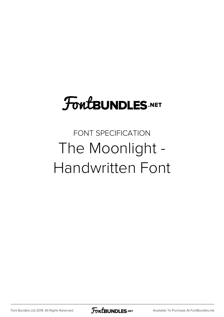# **FoutBUNDLES.NET**

## FONT SPECIFICATION The Moonlight - Handwritten Font

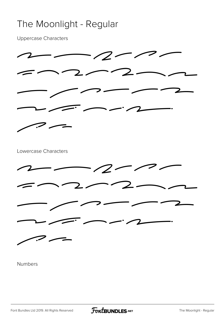#### The Moonlight - Regular

Uppercase Characters



Numbers

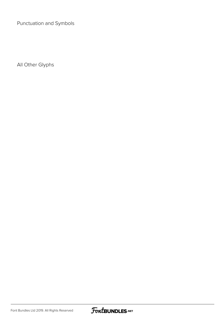Punctuation and Symbols

All Other Glyphs

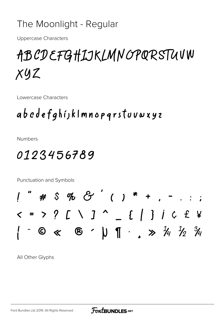#### The Moonlight - Regular

**Uppercase Characters** 

## ABCDEFGHIJKLMNOPQRSTUVW  $Xyz$

Lowercase Characters

### abcdefghijklmnopqrstuvwxyz

**Numbers** 

### 0123456789

Punctuation and Symbols

All Other Glyphs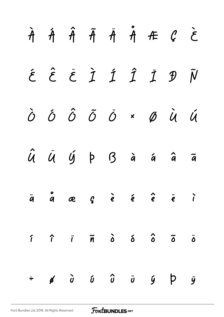|  |  |  | $\begin{array}{ccccccccccccccccc} \hat{A} & \hat{A} & \hat{A} & \hat{A} & \hat{A} & \hat{A} & \hat{B} & \hat{C} & \hat{C} \end{array}$                                                                                                                                                 |  |
|--|--|--|----------------------------------------------------------------------------------------------------------------------------------------------------------------------------------------------------------------------------------------------------------------------------------------|--|
|  |  |  | É Ê Ë Ì Í Î Ï Đ Ñ                                                                                                                                                                                                                                                                      |  |
|  |  |  | Ò Ó Ô Õ Ö × Ø Ù Ú                                                                                                                                                                                                                                                                      |  |
|  |  |  | Û Ü Ý Þ B à á â ã                                                                                                                                                                                                                                                                      |  |
|  |  |  | $\ddot{q}$ $\ddot{q}$ $\alpha$ $\beta$ $\dot{e}$ $\dot{e}$ $\dot{e}$ $\ddot{e}$ $\ddot{e}$ $\ddot{e}$                                                                                                                                                                                  |  |
|  |  |  | $\begin{array}{ccc} \hat{\imath} & \hat{\imath} & \hat{\imath} & \tilde{\mathfrak{n}} & \hat{o} & \hat{o} & \hat{o} & \tilde{o} \end{array}$                                                                                                                                           |  |
|  |  |  | $\div$ 6 $\hat{a}$ $\hat{b}$ $\hat{c}$ $\hat{c}$ $\hat{c}$ $\hat{c}$ $\hat{c}$ $\hat{c}$ $\hat{c}$ $\hat{c}$ $\hat{c}$ $\hat{c}$ $\hat{c}$ $\hat{c}$ $\hat{c}$ $\hat{c}$ $\hat{c}$ $\hat{c}$ $\hat{c}$ $\hat{c}$ $\hat{c}$ $\hat{c}$ $\hat{c}$ $\hat{c}$ $\hat{c}$ $\hat{c}$ $\hat{c}$ |  |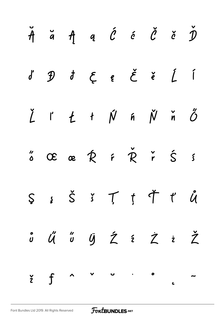| $\check{\mathcal{A}}$ and $\check{\mathcal{A}}$ and $\check{\mathcal{C}}$ and $\check{\mathcal{C}}$ and $\check{\mathcal{D}}$ |  |  |  |  |
|-------------------------------------------------------------------------------------------------------------------------------|--|--|--|--|
|                                                                                                                               |  |  |  |  |
| Ž ľ Ł ł Ń ń Ň ň Ő                                                                                                             |  |  |  |  |
| $\stackrel{\prime\prime}{\circ}$ OE as $\stackrel{\prime}{R}$ is $\stackrel{\prime}{R}$ is $\stackrel{\prime}{S}$ is          |  |  |  |  |
| $S s S S T f T d$                                                                                                             |  |  |  |  |
| ô Ű Ű Ü Ź ź Ż ż Ž                                                                                                             |  |  |  |  |
| $\sum_{i=1}^{n} f(i)$                                                                                                         |  |  |  |  |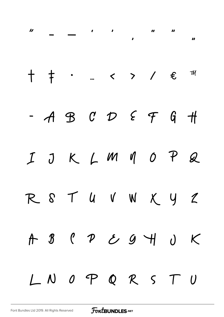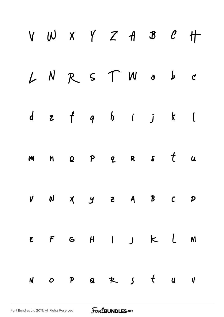| LNRSTWabc<br>$d$ $\epsilon$ $f$ $g$ $h$ $i$ $j$ $k$ $l$<br>m n o p q R s t u<br>U W X Y Z A B C P<br>EFGHIJKLM | V W X Y Z A B C H |
|----------------------------------------------------------------------------------------------------------------|-------------------|
|                                                                                                                |                   |
|                                                                                                                |                   |
|                                                                                                                |                   |
|                                                                                                                |                   |
|                                                                                                                |                   |
| NOPQRJ tuV                                                                                                     |                   |